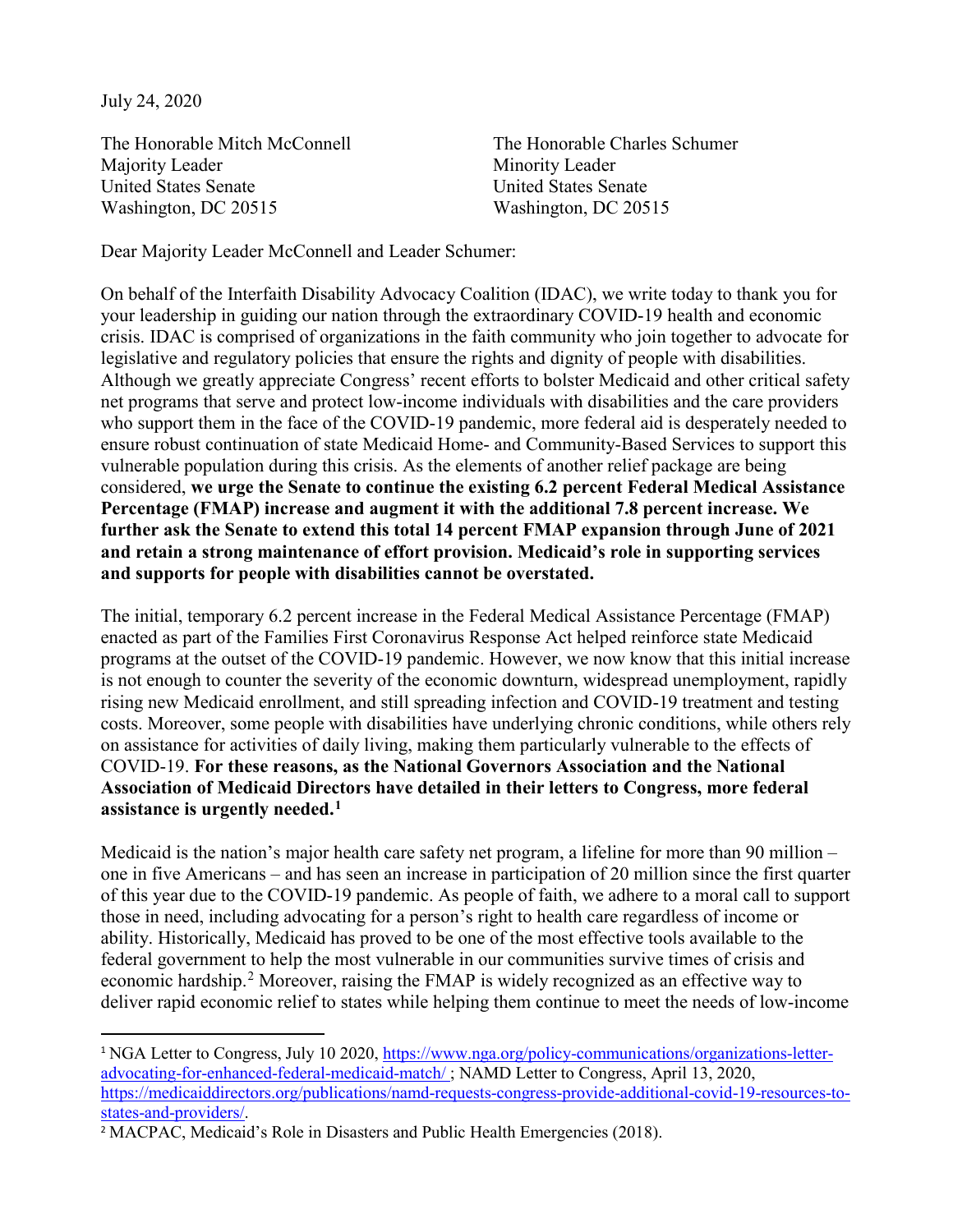July 24, 2020

The Honorable Mitch McConnell The Honorable Charles Schumer Majority Leader Minority Leader United States Senate United States Senate Washington, DC 20515 Washington, DC 20515

Dear Majority Leader McConnell and Leader Schumer:

On behalf of the Interfaith Disability Advocacy Coalition (IDAC), we write today to thank you for your leadership in guiding our nation through the extraordinary COVID-19 health and economic crisis. IDAC is comprised of organizations in the faith community who join together to advocate for legislative and regulatory policies that ensure the rights and dignity of people with disabilities. Although we greatly appreciate Congress' recent efforts to bolster Medicaid and other critical safety net programs that serve and protect low-income individuals with disabilities and the care providers who support them in the face of the COVID-19 pandemic, more federal aid is desperately needed to ensure robust continuation of state Medicaid Home- and Community-Based Services to support this vulnerable population during this crisis. As the elements of another relief package are being considered, **we urge the Senate to continue the existing 6.2 percent Federal Medical Assistance Percentage (FMAP) increase and augment it with the additional 7.8 percent increase. We further ask the Senate to extend this total 14 percent FMAP expansion through June of 2021 and retain a strong maintenance of effort provision. Medicaid's role in supporting services and supports for people with disabilities cannot be overstated.**

The initial, temporary 6.2 percent increase in the Federal Medical Assistance Percentage (FMAP) enacted as part of the Families First Coronavirus Response Act helped reinforce state Medicaid programs at the outset of the COVID-19 pandemic. However, we now know that this initial increase is not enough to counter the severity of the economic downturn, widespread unemployment, rapidly rising new Medicaid enrollment, and still spreading infection and COVID-19 treatment and testing costs. Moreover, some people with disabilities have underlying chronic conditions, while others rely on assistance for activities of daily living, making them particularly vulnerable to the effects of COVID-19. **For these reasons, as the National Governors Association and the National Association of Medicaid Directors have detailed in their letters to Congress, more federal assistance is urgently needed.[1](#page-0-0)**

Medicaid is the nation's major health care safety net program, a lifeline for more than 90 million – one in five Americans – and has seen an increase in participation of 20 million since the first quarter of this year due to the COVID-19 pandemic. As people of faith, we adhere to a moral call to support those in need, including advocating for a person's right to health care regardless of income or ability. Historically, Medicaid has proved to be one of the most effective tools available to the federal government to help the most vulnerable in our communities survive times of crisis and economic hardship.<sup>[2](#page-0-1)</sup> Moreover, raising the FMAP is widely recognized as an effective way to deliver rapid economic relief to states while helping them continue to meet the needs of low-income

<span id="page-0-0"></span><sup>&</sup>lt;sup>1</sup> NGA Letter to Congress, July 10 2020, [https://www.nga.org/policy-communications/organizations-letter](https://www.nga.org/policy-communications/organizations-letter-advocating-for-enhanced-federal-medicaid-match/%C2%A0)[advocating-for-enhanced-federal-medicaid-match/](https://www.nga.org/policy-communications/organizations-letter-advocating-for-enhanced-federal-medicaid-match/%C2%A0) ; NAMD Letter to Congress, April 13, 2020, [https://medicaiddirectors.org/publications/namd-requests-congress-provide-additional-covid-19-resources-to](https://medicaiddirectors.org/publications/namd-requests-congress-provide-additional-covid-19-resources-to-states-and-providers/)[states-and-providers/.](https://medicaiddirectors.org/publications/namd-requests-congress-provide-additional-covid-19-resources-to-states-and-providers/)

<span id="page-0-1"></span><sup>&</sup>lt;sup>2</sup> MACPAC, Medicaid's Role in Disasters and Public Health Emergencies (2018).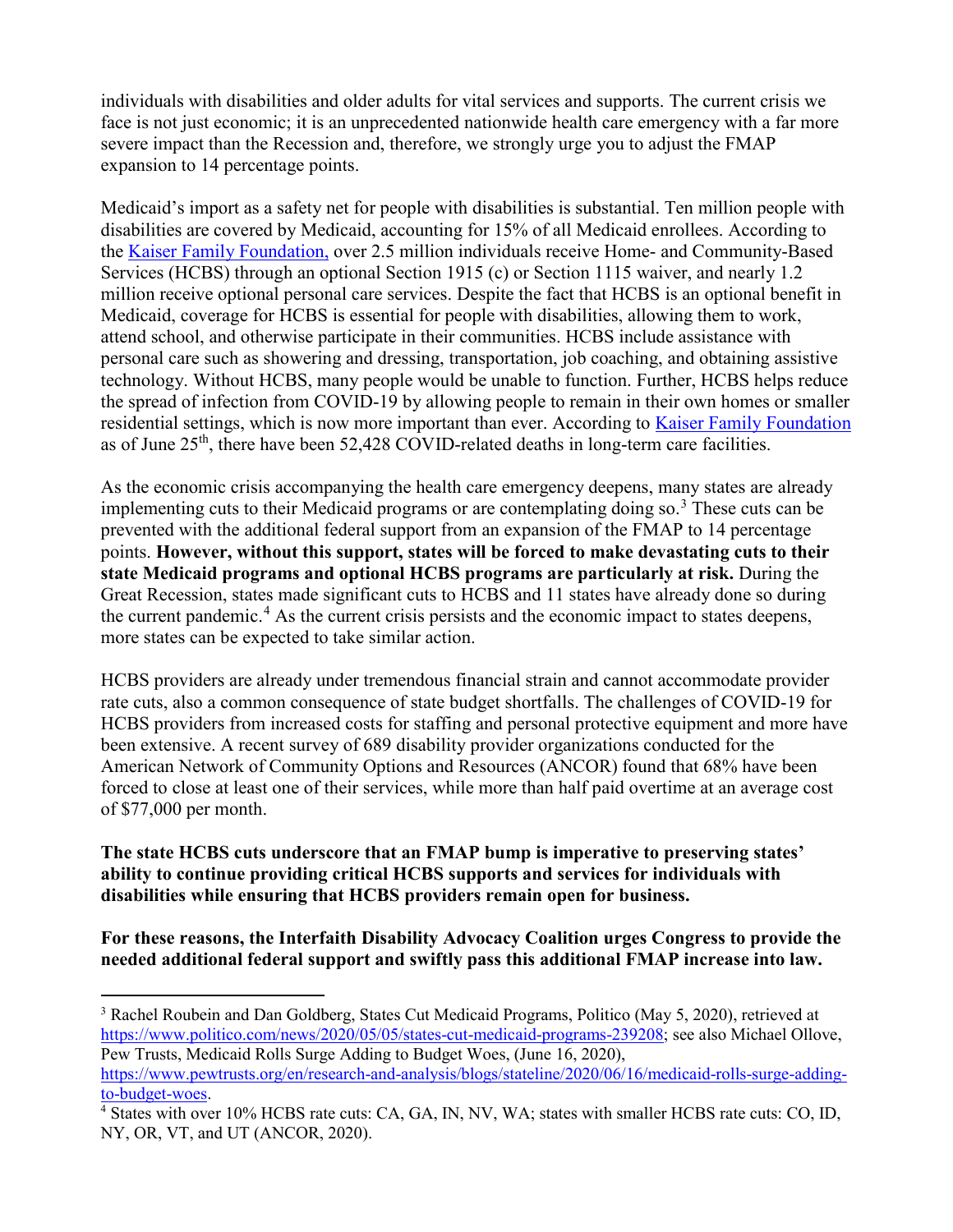individuals with disabilities and older adults for vital services and supports. The current crisis we face is not just economic; it is an unprecedented nationwide health care emergency with a far more severe impact than the Recession and, therefore, we strongly urge you to adjust the FMAP expansion to 14 percentage points.

Medicaid's import as a safety net for people with disabilities is substantial. Ten million people with disabilities are covered by Medicaid, accounting for 15% of all Medicaid enrollees. According to the [Kaiser Family Foundation,](https://www.kff.org/medicaid/issue-brief/medicaid-home-and-community-based-services-enrollment-and-spending/) over 2.5 million individuals receive Home- and Community-Based Services (HCBS) through an optional Section 1915 (c) or Section 1115 waiver, and nearly 1.2 million receive optional personal care services. Despite the fact that HCBS is an optional benefit in Medicaid, coverage for HCBS is essential for people with disabilities, allowing them to work, attend school, and otherwise participate in their communities. HCBS include assistance with personal care such as showering and dressing, transportation, job coaching, and obtaining assistive technology. Without HCBS, many people would be unable to function. Further, HCBS helps reduce the spread of infection from COVID-19 by allowing people to remain in their own homes or smaller residential settings, which is now more important than ever. According to [Kaiser Family Foundation](https://www.kff.org/coronavirus-covid-19/fact-sheet/coronavirus-tracker/) as of June 25<sup>th</sup>, there have been 52,428 COVID-related deaths in long-term care facilities.

As the economic crisis accompanying the health care emergency deepens, many states are already implementing cuts to their Medicaid programs or are contemplating doing so.<sup>[3](#page-1-0)</sup> These cuts can be prevented with the additional federal support from an expansion of the FMAP to 14 percentage points. **However, without this support, states will be forced to make devastating cuts to their state Medicaid programs and optional HCBS programs are particularly at risk.** During the Great Recession, states made significant cuts to HCBS and 11 states have already done so during the current pandemic.<sup>[4](#page-1-1)</sup> As the current crisis persists and the economic impact to states deepens, more states can be expected to take similar action.

HCBS providers are already under tremendous financial strain and cannot accommodate provider rate cuts, also a common consequence of state budget shortfalls. The challenges of COVID-19 for HCBS providers from increased costs for staffing and personal protective equipment and more have been extensive. A recent survey of 689 disability provider organizations conducted for the American Network of Community Options and Resources (ANCOR) found that 68% have been forced to close at least one of their services, while more than half paid overtime at an average cost of \$77,000 per month.

**The state HCBS cuts underscore that an FMAP bump is imperative to preserving states' ability to continue providing critical HCBS supports and services for individuals with disabilities while ensuring that HCBS providers remain open for business.**

**For these reasons, the Interfaith Disability Advocacy Coalition urges Congress to provide the needed additional federal support and swiftly pass this additional FMAP increase into law.** 

 $\overline{a}$ 

<span id="page-1-0"></span><sup>&</sup>lt;sup>3</sup> Rachel Roubein and Dan Goldberg, States Cut Medicaid Programs, Politico (May 5, 2020), retrieved at [https://www.politico.com/news/2020/05/05/states-cut-medicaid-programs-239208;](https://www.politico.com/news/2020/05/05/states-cut-medicaid-programs-239208) see also Michael Ollove, Pew Trusts, Medicaid Rolls Surge Adding to Budget Woes, (June 16, 2020), [https://www.pewtrusts.org/en/research-and-analysis/blogs/stateline/2020/06/16/medicaid-rolls-surge-adding-](https://www.pewtrusts.org/en/research-and-analysis/blogs/stateline/2020/06/16/medicaid-rolls-surge-adding-to-budget-woes)

[to-budget-woes.](https://www.pewtrusts.org/en/research-and-analysis/blogs/stateline/2020/06/16/medicaid-rolls-surge-adding-to-budget-woes)

<span id="page-1-1"></span><sup>4</sup> States with over 10% HCBS rate cuts: CA, GA, IN, NV, WA; states with smaller HCBS rate cuts: CO, ID, NY, OR, VT, and UT (ANCOR, 2020).